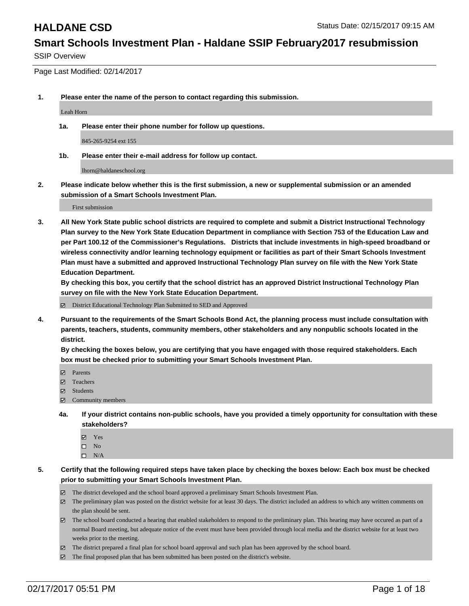SSIP Overview

Page Last Modified: 02/14/2017

**1. Please enter the name of the person to contact regarding this submission.**

Leah Horn

**1a. Please enter their phone number for follow up questions.**

845-265-9254 ext 155

**1b. Please enter their e-mail address for follow up contact.**

lhorn@haldaneschool.org

**2. Please indicate below whether this is the first submission, a new or supplemental submission or an amended submission of a Smart Schools Investment Plan.**

First submission

**3. All New York State public school districts are required to complete and submit a District Instructional Technology Plan survey to the New York State Education Department in compliance with Section 753 of the Education Law and per Part 100.12 of the Commissioner's Regulations. Districts that include investments in high-speed broadband or wireless connectivity and/or learning technology equipment or facilities as part of their Smart Schools Investment Plan must have a submitted and approved Instructional Technology Plan survey on file with the New York State Education Department.** 

**By checking this box, you certify that the school district has an approved District Instructional Technology Plan survey on file with the New York State Education Department.**

District Educational Technology Plan Submitted to SED and Approved

**4. Pursuant to the requirements of the Smart Schools Bond Act, the planning process must include consultation with parents, teachers, students, community members, other stakeholders and any nonpublic schools located in the district.** 

**By checking the boxes below, you are certifying that you have engaged with those required stakeholders. Each box must be checked prior to submitting your Smart Schools Investment Plan.**

- **Parents**
- Teachers
- **☑** Students
- Community members
- **4a. If your district contains non-public schools, have you provided a timely opportunity for consultation with these stakeholders?**
	- Yes
	- $\square$  No
	- $\square$  N/A
- **5. Certify that the following required steps have taken place by checking the boxes below: Each box must be checked prior to submitting your Smart Schools Investment Plan.**
	- The district developed and the school board approved a preliminary Smart Schools Investment Plan.
	- The preliminary plan was posted on the district website for at least 30 days. The district included an address to which any written comments on the plan should be sent.
	- The school board conducted a hearing that enabled stakeholders to respond to the preliminary plan. This hearing may have occured as part of a normal Board meeting, but adequate notice of the event must have been provided through local media and the district website for at least two weeks prior to the meeting.
	- The district prepared a final plan for school board approval and such plan has been approved by the school board.
	- $\boxtimes$  The final proposed plan that has been submitted has been posted on the district's website.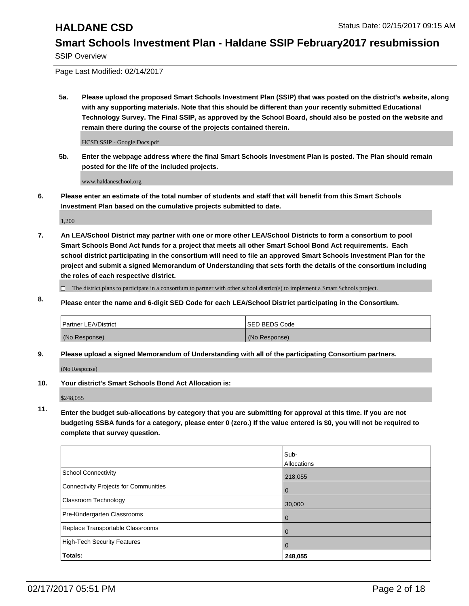SSIP Overview

Page Last Modified: 02/14/2017

**5a. Please upload the proposed Smart Schools Investment Plan (SSIP) that was posted on the district's website, along with any supporting materials. Note that this should be different than your recently submitted Educational Technology Survey. The Final SSIP, as approved by the School Board, should also be posted on the website and remain there during the course of the projects contained therein.**

HCSD SSIP - Google Docs.pdf

**5b. Enter the webpage address where the final Smart Schools Investment Plan is posted. The Plan should remain posted for the life of the included projects.**

www.haldaneschool.org

**6. Please enter an estimate of the total number of students and staff that will benefit from this Smart Schools Investment Plan based on the cumulative projects submitted to date.**

1,200

- **7. An LEA/School District may partner with one or more other LEA/School Districts to form a consortium to pool Smart Schools Bond Act funds for a project that meets all other Smart School Bond Act requirements. Each school district participating in the consortium will need to file an approved Smart Schools Investment Plan for the project and submit a signed Memorandum of Understanding that sets forth the details of the consortium including the roles of each respective district.**
	- $\Box$  The district plans to participate in a consortium to partner with other school district(s) to implement a Smart Schools project.
- **8. Please enter the name and 6-digit SED Code for each LEA/School District participating in the Consortium.**

| <b>Partner LEA/District</b> | <b>ISED BEDS Code</b> |
|-----------------------------|-----------------------|
| (No Response)               | (No Response)         |

**9. Please upload a signed Memorandum of Understanding with all of the participating Consortium partners.**

(No Response)

**10. Your district's Smart Schools Bond Act Allocation is:**

\$248,055

**11. Enter the budget sub-allocations by category that you are submitting for approval at this time. If you are not budgeting SSBA funds for a category, please enter 0 (zero.) If the value entered is \$0, you will not be required to complete that survey question.**

|                                       | Sub-        |
|---------------------------------------|-------------|
|                                       | Allocations |
| School Connectivity                   | 218,055     |
| Connectivity Projects for Communities | 0           |
| <b>Classroom Technology</b>           | 30,000      |
| Pre-Kindergarten Classrooms           |             |
| Replace Transportable Classrooms      |             |
| High-Tech Security Features           | 0           |
| Totals:                               | 248,055     |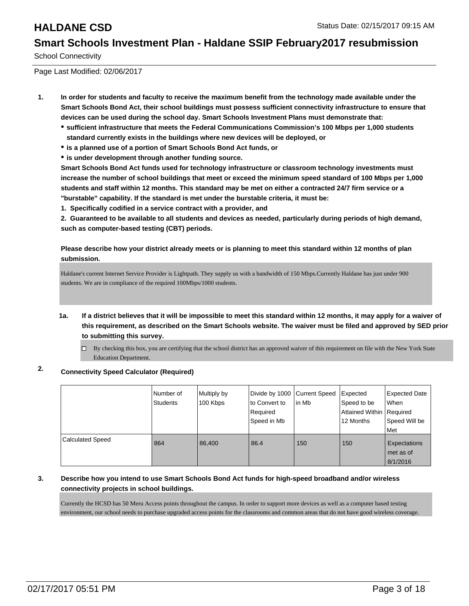School Connectivity

Page Last Modified: 02/06/2017

- **1. In order for students and faculty to receive the maximum benefit from the technology made available under the Smart Schools Bond Act, their school buildings must possess sufficient connectivity infrastructure to ensure that devices can be used during the school day. Smart Schools Investment Plans must demonstrate that:**
	- **sufficient infrastructure that meets the Federal Communications Commission's 100 Mbps per 1,000 students standard currently exists in the buildings where new devices will be deployed, or**
	- **is a planned use of a portion of Smart Schools Bond Act funds, or**
	- **is under development through another funding source.**

**Smart Schools Bond Act funds used for technology infrastructure or classroom technology investments must increase the number of school buildings that meet or exceed the minimum speed standard of 100 Mbps per 1,000 students and staff within 12 months. This standard may be met on either a contracted 24/7 firm service or a "burstable" capability. If the standard is met under the burstable criteria, it must be:**

**1. Specifically codified in a service contract with a provider, and**

**2. Guaranteed to be available to all students and devices as needed, particularly during periods of high demand, such as computer-based testing (CBT) periods.**

**Please describe how your district already meets or is planning to meet this standard within 12 months of plan submission.**

Haldane's current Internet Service Provider is Lightpath. They supply us with a bandwidth of 150 Mbps.Currently Haldane has just under 900 students. We are in compliance of the required 100Mbps/1000 students.

- **1a. If a district believes that it will be impossible to meet this standard within 12 months, it may apply for a waiver of this requirement, as described on the Smart Schools website. The waiver must be filed and approved by SED prior to submitting this survey.**
	- By checking this box, you are certifying that the school district has an approved waiver of this requirement on file with the New York State Education Department.

### **2. Connectivity Speed Calculator (Required)**

|                         | Number of<br><b>Students</b> | Multiply by<br>100 Kbps | Divide by 1000 Current Speed<br>to Convert to<br>Required<br>Speed in Mb | lin Mb | Expected<br>Speed to be<br>Attained Within   Required<br>12 Months | Expected Date<br>When<br>Speed Will be<br><b>Met</b> |
|-------------------------|------------------------------|-------------------------|--------------------------------------------------------------------------|--------|--------------------------------------------------------------------|------------------------------------------------------|
| <b>Calculated Speed</b> | 864                          | 86.400                  | 86.4                                                                     | 150    | 150                                                                | Expectations<br>met as of<br>8/1/2016                |

### **3. Describe how you intend to use Smart Schools Bond Act funds for high-speed broadband and/or wireless connectivity projects in school buildings.**

Currently the HCSD has 50 Meru Access points throughout the campus. In order to support more devices as well as a computer based testing environment, our school needs to purchase upgraded access points for the classrooms and common areas that do not have good wireless coverage.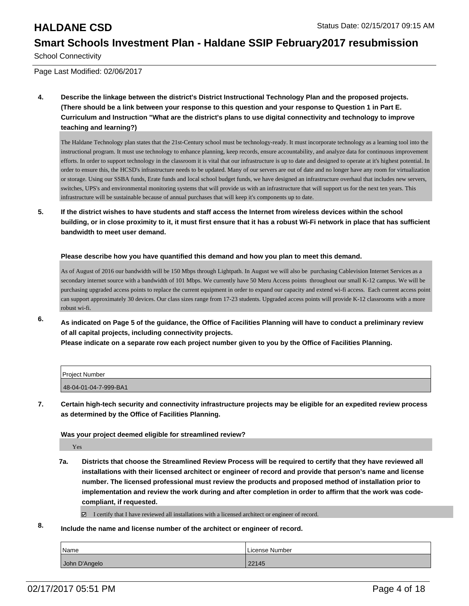School Connectivity

Page Last Modified: 02/06/2017

**4. Describe the linkage between the district's District Instructional Technology Plan and the proposed projects. (There should be a link between your response to this question and your response to Question 1 in Part E. Curriculum and Instruction "What are the district's plans to use digital connectivity and technology to improve teaching and learning?)**

The Haldane Technology plan states that the 21st-Century school must be technology-ready. It must incorporate technology as a learning tool into the instructional program. It must use technology to enhance planning, keep records, ensure accountability, and analyze data for continuous improvement efforts. In order to support technology in the classroom it is vital that our infrastructure is up to date and designed to operate at it's highest potential. In order to ensure this, the HCSD's infrastructure needs to be updated. Many of our servers are out of date and no longer have any room for virtualization or storage. Using our SSBA funds, Erate funds and local school budget funds, we have designed an infrastructure overhaul that includes new servers, switches, UPS's and environmental monitoring systems that will provide us with an infrastructure that will support us for the next ten years. This infrastructure will be sustainable because of annual purchases that will keep it's components up to date.

**5. If the district wishes to have students and staff access the Internet from wireless devices within the school building, or in close proximity to it, it must first ensure that it has a robust Wi-Fi network in place that has sufficient bandwidth to meet user demand.**

### **Please describe how you have quantified this demand and how you plan to meet this demand.**

As of August of 2016 our bandwidth will be 150 Mbps through Lightpath. In August we will also be purchasing Cablevision Internet Services as a secondary internet source with a bandwidth of 101 Mbps. We currently have 50 Meru Access points throughout our small K-12 campus. We will be purchasing upgraded access points to replace the current equipment in order to expand our capacity and extend wi-fi access. Each current access point can support approximately 30 devices. Our class sizes range from 17-23 students. Upgraded access points will provide K-12 classrooms with a more robust wi-fi.

**6. As indicated on Page 5 of the guidance, the Office of Facilities Planning will have to conduct a preliminary review of all capital projects, including connectivity projects.**

**Please indicate on a separate row each project number given to you by the Office of Facilities Planning.**

| Project Number        |  |
|-----------------------|--|
| 48-04-01-04-7-999-BA1 |  |

**7. Certain high-tech security and connectivity infrastructure projects may be eligible for an expedited review process as determined by the Office of Facilities Planning.**

### **Was your project deemed eligible for streamlined review?**

Yes

- **7a. Districts that choose the Streamlined Review Process will be required to certify that they have reviewed all installations with their licensed architect or engineer of record and provide that person's name and license number. The licensed professional must review the products and proposed method of installation prior to implementation and review the work during and after completion in order to affirm that the work was codecompliant, if requested.**
	- I certify that I have reviewed all installations with a licensed architect or engineer of record.
- **8. Include the name and license number of the architect or engineer of record.**

| <i>Name</i>   | License Number |
|---------------|----------------|
| John D'Angelo | 22145          |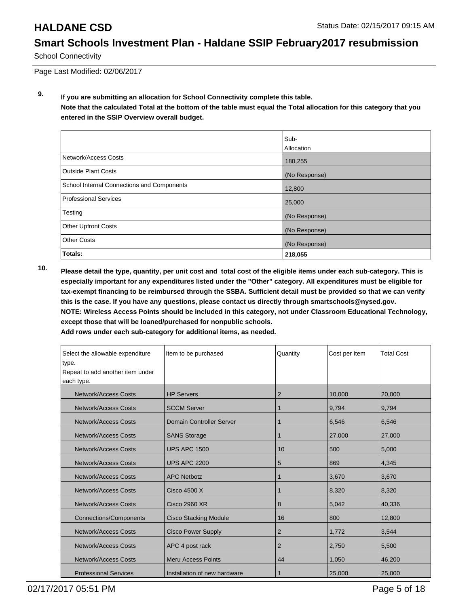School Connectivity

Page Last Modified: 02/06/2017

**9. If you are submitting an allocation for School Connectivity complete this table. Note that the calculated Total at the bottom of the table must equal the Total allocation for this category that you entered in the SSIP Overview overall budget.** 

|                                            | Sub-<br>Allocation |
|--------------------------------------------|--------------------|
| Network/Access Costs                       | 180,255            |
| <b>Outside Plant Costs</b>                 | (No Response)      |
| School Internal Connections and Components | 12,800             |
| Professional Services                      | 25,000             |
| Testing                                    | (No Response)      |
| Other Upfront Costs                        | (No Response)      |
| <b>Other Costs</b>                         | (No Response)      |
| Totals:                                    | 218,055            |

**10. Please detail the type, quantity, per unit cost and total cost of the eligible items under each sub-category. This is especially important for any expenditures listed under the "Other" category. All expenditures must be eligible for tax-exempt financing to be reimbursed through the SSBA. Sufficient detail must be provided so that we can verify this is the case. If you have any questions, please contact us directly through smartschools@nysed.gov. NOTE: Wireless Access Points should be included in this category, not under Classroom Educational Technology, except those that will be loaned/purchased for nonpublic schools.**

| Select the allowable expenditure | Item to be purchased         | Quantity       | Cost per Item | <b>Total Cost</b> |
|----------------------------------|------------------------------|----------------|---------------|-------------------|
| type.                            |                              |                |               |                   |
| Repeat to add another item under |                              |                |               |                   |
| each type.                       |                              |                |               |                   |
| Network/Access Costs             | <b>HP Servers</b>            | $\overline{2}$ | 10,000        | 20,000            |
| <b>Network/Access Costs</b>      | <b>SCCM Server</b>           | 1              | 9,794         | 9,794             |
| Network/Access Costs             | Domain Controller Server     |                | 6,546         | 6,546             |
| Network/Access Costs             | <b>SANS Storage</b>          | 1              | 27,000        | 27,000            |
| <b>Network/Access Costs</b>      | <b>UPS APC 1500</b>          | 10             | 500           | 5,000             |
| <b>Network/Access Costs</b>      | <b>UPS APC 2200</b>          | 5              | 869           | 4,345             |
| <b>Network/Access Costs</b>      | <b>APC Netbotz</b>           | 1              | 3,670         | 3,670             |
| Network/Access Costs             | Cisco 4500 X                 | 1              | 8,320         | 8,320             |
| Network/Access Costs             | <b>Cisco 2960 XR</b>         | 8              | 5,042         | 40,336            |
| <b>Connections/Components</b>    | <b>Cisco Stacking Module</b> | 16             | 800           | 12,800            |
| <b>Network/Access Costs</b>      | <b>Cisco Power Supply</b>    | 2              | 1,772         | 3,544             |
| <b>Network/Access Costs</b>      | APC 4 post rack              | $\overline{2}$ | 2,750         | 5,500             |
| <b>Network/Access Costs</b>      | <b>Meru Access Points</b>    | 44             | 1,050         | 46,200            |
| <b>Professional Services</b>     | Installation of new hardware | 1              | 25,000        | 25,000            |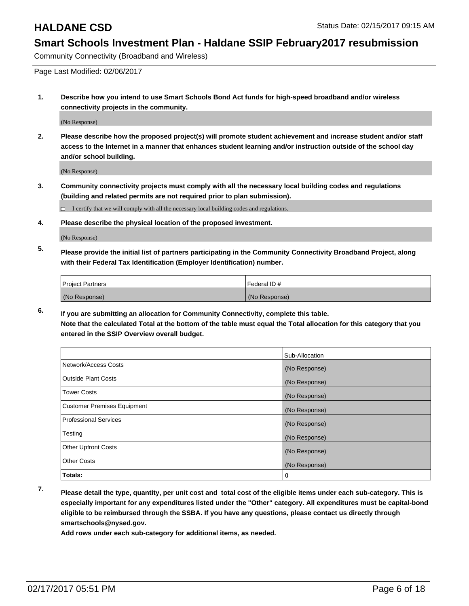Community Connectivity (Broadband and Wireless)

Page Last Modified: 02/06/2017

**1. Describe how you intend to use Smart Schools Bond Act funds for high-speed broadband and/or wireless connectivity projects in the community.**

(No Response)

**2. Please describe how the proposed project(s) will promote student achievement and increase student and/or staff access to the Internet in a manner that enhances student learning and/or instruction outside of the school day and/or school building.**

(No Response)

**3. Community connectivity projects must comply with all the necessary local building codes and regulations (building and related permits are not required prior to plan submission).**

 $\Box$  I certify that we will comply with all the necessary local building codes and regulations.

**4. Please describe the physical location of the proposed investment.**

(No Response)

**5. Please provide the initial list of partners participating in the Community Connectivity Broadband Project, along with their Federal Tax Identification (Employer Identification) number.**

| <b>Project Partners</b> | <b>IFederal ID#</b> |
|-------------------------|---------------------|
| (No Response)           | (No Response)       |

**6. If you are submitting an allocation for Community Connectivity, complete this table. Note that the calculated Total at the bottom of the table must equal the Total allocation for this category that you entered in the SSIP Overview overall budget.**

|                                    | Sub-Allocation |
|------------------------------------|----------------|
|                                    |                |
| Network/Access Costs               | (No Response)  |
| <b>Outside Plant Costs</b>         | (No Response)  |
| <b>Tower Costs</b>                 | (No Response)  |
| <b>Customer Premises Equipment</b> | (No Response)  |
| <b>Professional Services</b>       | (No Response)  |
| Testing                            | (No Response)  |
| <b>Other Upfront Costs</b>         | (No Response)  |
| <b>Other Costs</b>                 | (No Response)  |
| Totals:                            | 0              |

**7. Please detail the type, quantity, per unit cost and total cost of the eligible items under each sub-category. This is especially important for any expenditures listed under the "Other" category. All expenditures must be capital-bond eligible to be reimbursed through the SSBA. If you have any questions, please contact us directly through smartschools@nysed.gov.**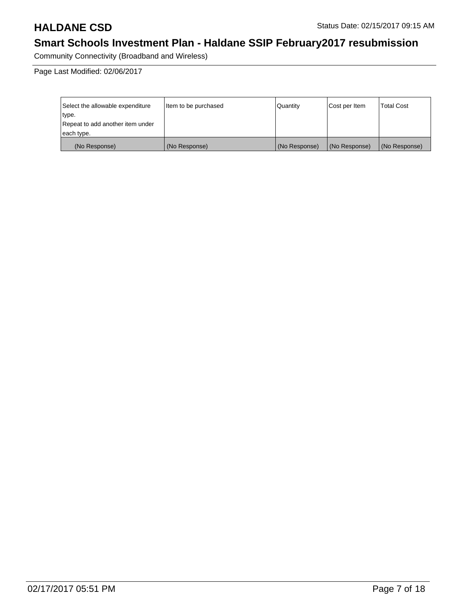Community Connectivity (Broadband and Wireless)

Page Last Modified: 02/06/2017

| Select the allowable expenditure | litem to be purchased | Quantity      | Cost per Item | <b>Total Cost</b> |
|----------------------------------|-----------------------|---------------|---------------|-------------------|
| type.                            |                       |               |               |                   |
| Repeat to add another item under |                       |               |               |                   |
| each type.                       |                       |               |               |                   |
| (No Response)                    | (No Response)         | (No Response) | (No Response) | (No Response)     |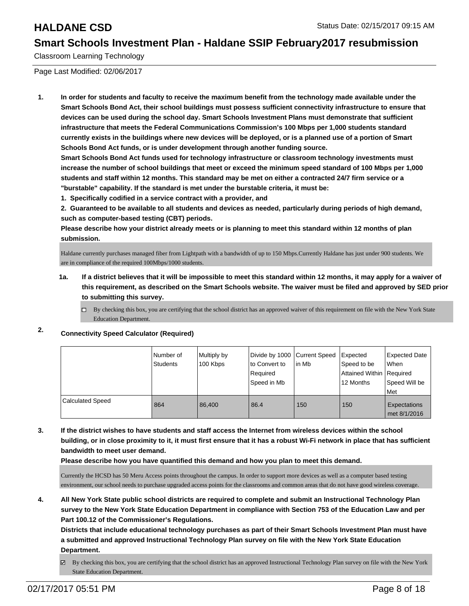Classroom Learning Technology

Page Last Modified: 02/06/2017

**1. In order for students and faculty to receive the maximum benefit from the technology made available under the Smart Schools Bond Act, their school buildings must possess sufficient connectivity infrastructure to ensure that devices can be used during the school day. Smart Schools Investment Plans must demonstrate that sufficient infrastructure that meets the Federal Communications Commission's 100 Mbps per 1,000 students standard currently exists in the buildings where new devices will be deployed, or is a planned use of a portion of Smart Schools Bond Act funds, or is under development through another funding source.**

**Smart Schools Bond Act funds used for technology infrastructure or classroom technology investments must increase the number of school buildings that meet or exceed the minimum speed standard of 100 Mbps per 1,000 students and staff within 12 months. This standard may be met on either a contracted 24/7 firm service or a "burstable" capability. If the standard is met under the burstable criteria, it must be:**

**1. Specifically codified in a service contract with a provider, and**

**2. Guaranteed to be available to all students and devices as needed, particularly during periods of high demand, such as computer-based testing (CBT) periods.**

**Please describe how your district already meets or is planning to meet this standard within 12 months of plan submission.**

Haldane currently purchases managed fiber from Lightpath with a bandwidth of up to 150 Mbps.Currently Haldane has just under 900 students. We are in compliance of the required 100Mbps/1000 students.

- **1a. If a district believes that it will be impossible to meet this standard within 12 months, it may apply for a waiver of this requirement, as described on the Smart Schools website. The waiver must be filed and approved by SED prior to submitting this survey.**
	- $\Box$  By checking this box, you are certifying that the school district has an approved waiver of this requirement on file with the New York State Education Department.

### **2. Connectivity Speed Calculator (Required)**

|                         | l Number of<br>Students | Multiply by<br>100 Kbps | Divide by 1000 Current Speed<br>to Convert to<br>Required<br>Speed in Mb | lin Mb | Expected<br>Speed to be<br>Attained Within Required<br>12 Months | <b>Expected Date</b><br>When<br>Speed Will be<br>Met |
|-------------------------|-------------------------|-------------------------|--------------------------------------------------------------------------|--------|------------------------------------------------------------------|------------------------------------------------------|
| <b>Calculated Speed</b> | 864                     | 86.400                  | 86.4                                                                     | 150    | 150                                                              | Expectations<br>met 8/1/2016                         |

**3. If the district wishes to have students and staff access the Internet from wireless devices within the school building, or in close proximity to it, it must first ensure that it has a robust Wi-Fi network in place that has sufficient bandwidth to meet user demand.**

**Please describe how you have quantified this demand and how you plan to meet this demand.**

Currently the HCSD has 50 Meru Access points throughout the campus. In order to support more devices as well as a computer based testing environment, our school needs to purchase upgraded access points for the classrooms and common areas that do not have good wireless coverage.

**4. All New York State public school districts are required to complete and submit an Instructional Technology Plan survey to the New York State Education Department in compliance with Section 753 of the Education Law and per Part 100.12 of the Commissioner's Regulations.**

**Districts that include educational technology purchases as part of their Smart Schools Investment Plan must have a submitted and approved Instructional Technology Plan survey on file with the New York State Education Department.**

By checking this box, you are certifying that the school district has an approved Instructional Technology Plan survey on file with the New York ☞ State Education Department.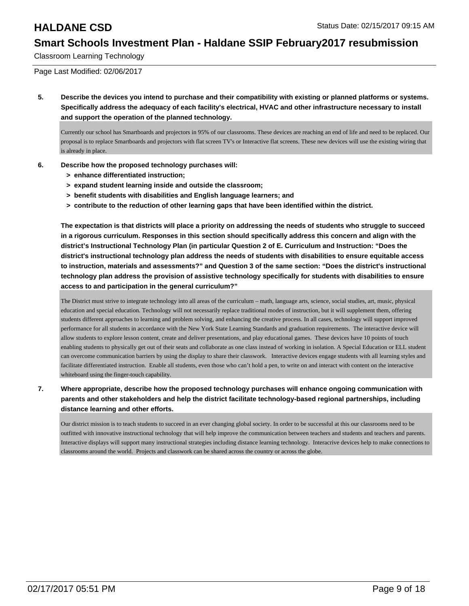Classroom Learning Technology

Page Last Modified: 02/06/2017

**5. Describe the devices you intend to purchase and their compatibility with existing or planned platforms or systems. Specifically address the adequacy of each facility's electrical, HVAC and other infrastructure necessary to install and support the operation of the planned technology.**

Currently our school has Smartboards and projectors in 95% of our classrooms. These devices are reaching an end of life and need to be replaced. Our proposal is to replace Smartboards and projectors with flat screen TV's or Interactive flat screens. These new devices will use the existing wiring that is already in place.

- **6. Describe how the proposed technology purchases will:**
	- **> enhance differentiated instruction;**
	- **> expand student learning inside and outside the classroom;**
	- **> benefit students with disabilities and English language learners; and**
	- **> contribute to the reduction of other learning gaps that have been identified within the district.**

**The expectation is that districts will place a priority on addressing the needs of students who struggle to succeed in a rigorous curriculum. Responses in this section should specifically address this concern and align with the district's Instructional Technology Plan (in particular Question 2 of E. Curriculum and Instruction: "Does the district's instructional technology plan address the needs of students with disabilities to ensure equitable access to instruction, materials and assessments?" and Question 3 of the same section: "Does the district's instructional technology plan address the provision of assistive technology specifically for students with disabilities to ensure access to and participation in the general curriculum?"**

The District must strive to integrate technology into all areas of the curriculum – math, language arts, science, social studies, art, music, physical education and special education. Technology will not necessarily replace traditional modes of instruction, but it will supplement them, offering students different approaches to learning and problem solving, and enhancing the creative process. In all cases, technology will support improved performance for all students in accordance with the New York State Learning Standards and graduation requirements. The interactive device will allow students to explore lesson content, create and deliver presentations, and play educational games. These devices have 10 points of touch enabling students to physically get out of their seats and collaborate as one class instead of working in isolation. A Special Education or ELL student can overcome communication barriers by using the display to share their classwork. Interactive devices engage students with all learning styles and facilitate differentiated instruction. Enable all students, even those who can't hold a pen, to write on and interact with content on the interactive whiteboard using the finger-touch capability.

**7. Where appropriate, describe how the proposed technology purchases will enhance ongoing communication with parents and other stakeholders and help the district facilitate technology-based regional partnerships, including distance learning and other efforts.**

Our district mission is to teach students to succeed in an ever changing global society. In order to be successful at this our classrooms need to be outfitted with innovative instructional technology that will help improve the communication between teachers and students and teachers and parents. Interactive displays will support many instructional strategies including distance learning technology. Interacrive devices help to make connections to classrooms around the world. Projects and classwork can be shared across the country or across the globe.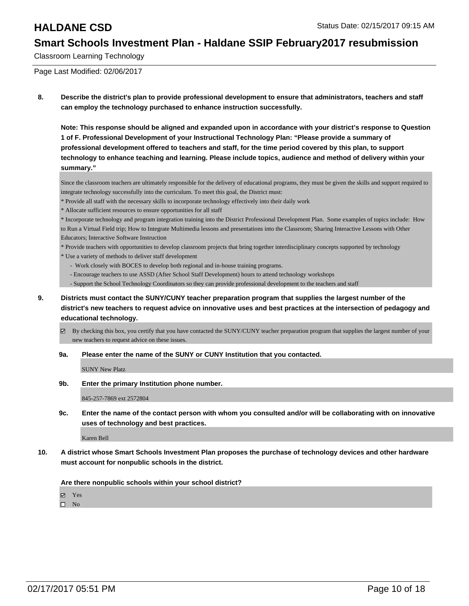Classroom Learning Technology

Page Last Modified: 02/06/2017

**8. Describe the district's plan to provide professional development to ensure that administrators, teachers and staff can employ the technology purchased to enhance instruction successfully.**

**Note: This response should be aligned and expanded upon in accordance with your district's response to Question 1 of F. Professional Development of your Instructional Technology Plan: "Please provide a summary of professional development offered to teachers and staff, for the time period covered by this plan, to support technology to enhance teaching and learning. Please include topics, audience and method of delivery within your summary."**

Since the classroom teachers are ultimately responsible for the delivery of educational programs, they must be given the skills and support required to integrate technology successfully into the curriculum. To meet this goal, the District must:

- \* Provide all staff with the necessary skills to incorporate technology effectively into their daily work
- \* Allocate sufficient resources to ensure opportunities for all staff

\* Incorporate technology and program integration training into the District Professional Development Plan. Some examples of topics include: How to Run a Virtual Field trip; How to Integrate Multimedia lessons and presentations into the Classroom; Sharing Interactive Lessons with Other Educators; Interactive Software Instruction

\* Provide teachers with opportunities to develop classroom projects that bring together interdisciplinary concepts supported by technology

- \* Use a variety of methods to deliver staff development
	- Work closely with BOCES to develop both regional and in-house training programs.
	- Encourage teachers to use ASSD (After School Staff Development) hours to attend technology workshops

- Support the School Technology Coordinators so they can provide professional development to the teachers and staff

- **9. Districts must contact the SUNY/CUNY teacher preparation program that supplies the largest number of the district's new teachers to request advice on innovative uses and best practices at the intersection of pedagogy and educational technology.**
	- $\boxtimes$  By checking this box, you certify that you have contacted the SUNY/CUNY teacher preparation program that supplies the largest number of your new teachers to request advice on these issues.

**9a. Please enter the name of the SUNY or CUNY Institution that you contacted.**

SUNY New Platz

**9b. Enter the primary Institution phone number.**

845-257-7869 ext 2572804

**9c. Enter the name of the contact person with whom you consulted and/or will be collaborating with on innovative uses of technology and best practices.**

Karen Bell

**10. A district whose Smart Schools Investment Plan proposes the purchase of technology devices and other hardware must account for nonpublic schools in the district.**

**Are there nonpublic schools within your school district?**

**Ø** Yes

 $\square$  No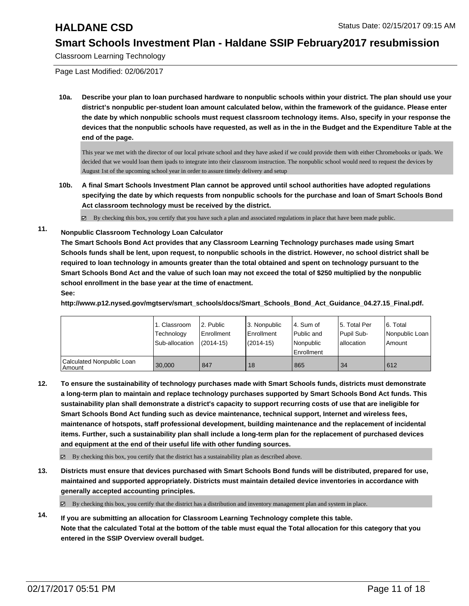Classroom Learning Technology

Page Last Modified: 02/06/2017

**10a. Describe your plan to loan purchased hardware to nonpublic schools within your district. The plan should use your district's nonpublic per-student loan amount calculated below, within the framework of the guidance. Please enter the date by which nonpublic schools must request classroom technology items. Also, specify in your response the devices that the nonpublic schools have requested, as well as in the in the Budget and the Expenditure Table at the end of the page.**

This year we met with the director of our local private school and they have asked if we could provide them with either Chromebooks or ipads. We decided that we would loan them ipads to integrate into their classroom instruction. The nonpublic school would need to request the devices by August 1st of the upcoming school year in order to assure timely delivery and setup

**10b. A final Smart Schools Investment Plan cannot be approved until school authorities have adopted regulations specifying the date by which requests from nonpublic schools for the purchase and loan of Smart Schools Bond Act classroom technology must be received by the district.**

 $\boxtimes$  By checking this box, you certify that you have such a plan and associated regulations in place that have been made public.

**11. Nonpublic Classroom Technology Loan Calculator**

**The Smart Schools Bond Act provides that any Classroom Learning Technology purchases made using Smart Schools funds shall be lent, upon request, to nonpublic schools in the district. However, no school district shall be required to loan technology in amounts greater than the total obtained and spent on technology pursuant to the Smart Schools Bond Act and the value of such loan may not exceed the total of \$250 multiplied by the nonpublic school enrollment in the base year at the time of enactment.**

**See:**

**http://www.p12.nysed.gov/mgtserv/smart\_schools/docs/Smart\_Schools\_Bond\_Act\_Guidance\_04.27.15\_Final.pdf.**

|                                     | 1. Classroom<br>Technology<br>Sub-allocation | 2. Public<br>Enrollment<br>$(2014-15)$ | 3. Nonpublic<br>Enrollment<br>$(2014 - 15)$ | 4. Sum of<br><b>Public and</b><br><b>Nonpublic</b><br>l Enrollment | 15. Total Per<br>Pupil Sub-<br>lallocation | 6. Total<br>Nonpublic Loan<br>Amount |
|-------------------------------------|----------------------------------------------|----------------------------------------|---------------------------------------------|--------------------------------------------------------------------|--------------------------------------------|--------------------------------------|
| Calculated Nonpublic Loan<br>Amount | 30,000                                       | 847                                    | 18                                          | 865                                                                | -34                                        | 612                                  |

**12. To ensure the sustainability of technology purchases made with Smart Schools funds, districts must demonstrate a long-term plan to maintain and replace technology purchases supported by Smart Schools Bond Act funds. This sustainability plan shall demonstrate a district's capacity to support recurring costs of use that are ineligible for Smart Schools Bond Act funding such as device maintenance, technical support, Internet and wireless fees, maintenance of hotspots, staff professional development, building maintenance and the replacement of incidental items. Further, such a sustainability plan shall include a long-term plan for the replacement of purchased devices and equipment at the end of their useful life with other funding sources.**

 $\boxtimes$  By checking this box, you certify that the district has a sustainability plan as described above.

**13. Districts must ensure that devices purchased with Smart Schools Bond funds will be distributed, prepared for use, maintained and supported appropriately. Districts must maintain detailed device inventories in accordance with generally accepted accounting principles.**

By checking this box, you certify that the district has a distribution and inventory management plan and system in place.

**14. If you are submitting an allocation for Classroom Learning Technology complete this table. Note that the calculated Total at the bottom of the table must equal the Total allocation for this category that you entered in the SSIP Overview overall budget.**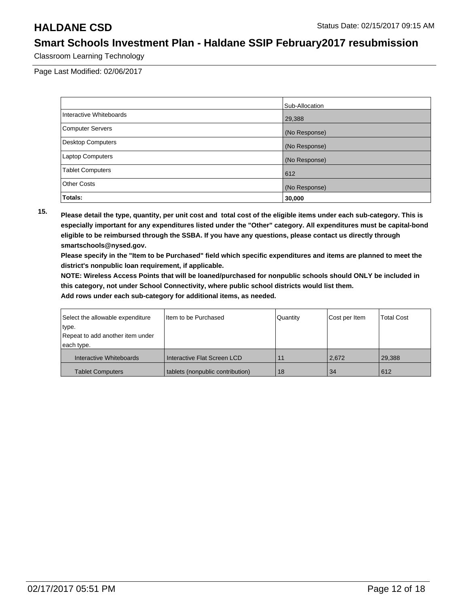Classroom Learning Technology

Page Last Modified: 02/06/2017

|                          | Sub-Allocation |
|--------------------------|----------------|
| Interactive Whiteboards  | 29,388         |
| <b>Computer Servers</b>  | (No Response)  |
| <b>Desktop Computers</b> | (No Response)  |
| Laptop Computers         | (No Response)  |
| <b>Tablet Computers</b>  | 612            |
| <b>Other Costs</b>       | (No Response)  |
| Totals:                  | 30,000         |

**15. Please detail the type, quantity, per unit cost and total cost of the eligible items under each sub-category. This is especially important for any expenditures listed under the "Other" category. All expenditures must be capital-bond eligible to be reimbursed through the SSBA. If you have any questions, please contact us directly through smartschools@nysed.gov.**

**Please specify in the "Item to be Purchased" field which specific expenditures and items are planned to meet the district's nonpublic loan requirement, if applicable.**

**NOTE: Wireless Access Points that will be loaned/purchased for nonpublic schools should ONLY be included in this category, not under School Connectivity, where public school districts would list them.**

| Select the allowable expenditure | Item to be Purchased             | Quantity | Cost per Item | <b>Total Cost</b> |
|----------------------------------|----------------------------------|----------|---------------|-------------------|
| type.                            |                                  |          |               |                   |
| Repeat to add another item under |                                  |          |               |                   |
| each type.                       |                                  |          |               |                   |
| Interactive Whiteboards          | Interactive Flat Screen LCD      | 11       | 2.672         | 29.388            |
| <b>Tablet Computers</b>          | tablets (nonpublic contribution) | 18       | 34            | 612               |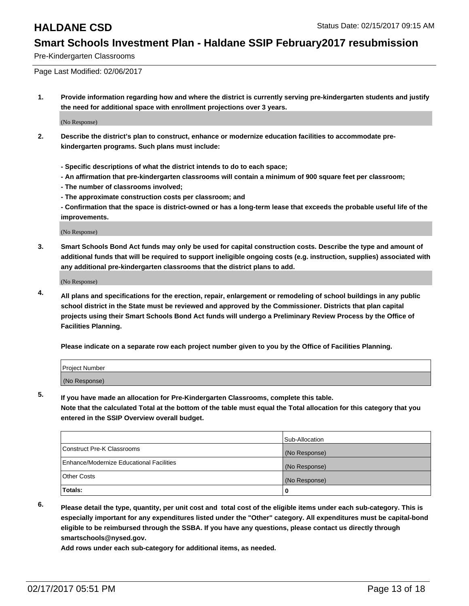Pre-Kindergarten Classrooms

Page Last Modified: 02/06/2017

**1. Provide information regarding how and where the district is currently serving pre-kindergarten students and justify the need for additional space with enrollment projections over 3 years.**

(No Response)

- **2. Describe the district's plan to construct, enhance or modernize education facilities to accommodate prekindergarten programs. Such plans must include:**
	- **Specific descriptions of what the district intends to do to each space;**
	- **An affirmation that pre-kindergarten classrooms will contain a minimum of 900 square feet per classroom;**
	- **The number of classrooms involved;**
	- **The approximate construction costs per classroom; and**
	- **Confirmation that the space is district-owned or has a long-term lease that exceeds the probable useful life of the improvements.**

(No Response)

**3. Smart Schools Bond Act funds may only be used for capital construction costs. Describe the type and amount of additional funds that will be required to support ineligible ongoing costs (e.g. instruction, supplies) associated with any additional pre-kindergarten classrooms that the district plans to add.**

(No Response)

**4. All plans and specifications for the erection, repair, enlargement or remodeling of school buildings in any public school district in the State must be reviewed and approved by the Commissioner. Districts that plan capital projects using their Smart Schools Bond Act funds will undergo a Preliminary Review Process by the Office of Facilities Planning.**

**Please indicate on a separate row each project number given to you by the Office of Facilities Planning.**

| Project Number |  |  |
|----------------|--|--|
| (No Response)  |  |  |

**5. If you have made an allocation for Pre-Kindergarten Classrooms, complete this table.**

**Note that the calculated Total at the bottom of the table must equal the Total allocation for this category that you entered in the SSIP Overview overall budget.**

|                                          | Sub-Allocation |
|------------------------------------------|----------------|
| Construct Pre-K Classrooms               | (No Response)  |
| Enhance/Modernize Educational Facilities | (No Response)  |
| Other Costs                              | (No Response)  |
| Totals:                                  |                |

**6. Please detail the type, quantity, per unit cost and total cost of the eligible items under each sub-category. This is especially important for any expenditures listed under the "Other" category. All expenditures must be capital-bond eligible to be reimbursed through the SSBA. If you have any questions, please contact us directly through smartschools@nysed.gov.**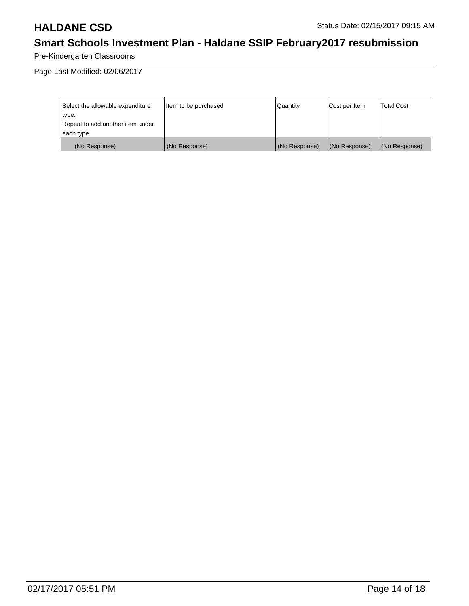Pre-Kindergarten Classrooms

Page Last Modified: 02/06/2017

| Select the allowable expenditure | litem to be purchased | Quantity      | Cost per Item | <b>Total Cost</b> |
|----------------------------------|-----------------------|---------------|---------------|-------------------|
| type.                            |                       |               |               |                   |
| Repeat to add another item under |                       |               |               |                   |
| each type.                       |                       |               |               |                   |
| (No Response)                    | (No Response)         | (No Response) | (No Response) | (No Response)     |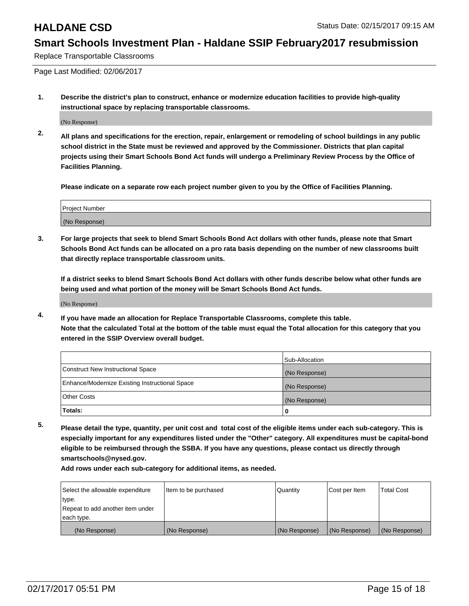Replace Transportable Classrooms

Page Last Modified: 02/06/2017

**1. Describe the district's plan to construct, enhance or modernize education facilities to provide high-quality instructional space by replacing transportable classrooms.**

(No Response)

**2. All plans and specifications for the erection, repair, enlargement or remodeling of school buildings in any public school district in the State must be reviewed and approved by the Commissioner. Districts that plan capital projects using their Smart Schools Bond Act funds will undergo a Preliminary Review Process by the Office of Facilities Planning.**

**Please indicate on a separate row each project number given to you by the Office of Facilities Planning.**

| <b>Project Number</b> |  |
|-----------------------|--|
| (No Response)         |  |

**3. For large projects that seek to blend Smart Schools Bond Act dollars with other funds, please note that Smart Schools Bond Act funds can be allocated on a pro rata basis depending on the number of new classrooms built that directly replace transportable classroom units.**

**If a district seeks to blend Smart Schools Bond Act dollars with other funds describe below what other funds are being used and what portion of the money will be Smart Schools Bond Act funds.**

(No Response)

**4. If you have made an allocation for Replace Transportable Classrooms, complete this table. Note that the calculated Total at the bottom of the table must equal the Total allocation for this category that you entered in the SSIP Overview overall budget.**

|                                                | Sub-Allocation |
|------------------------------------------------|----------------|
| Construct New Instructional Space              | (No Response)  |
| Enhance/Modernize Existing Instructional Space | (No Response)  |
| <b>Other Costs</b>                             | (No Response)  |
| Totals:                                        |                |

**5. Please detail the type, quantity, per unit cost and total cost of the eligible items under each sub-category. This is especially important for any expenditures listed under the "Other" category. All expenditures must be capital-bond eligible to be reimbursed through the SSBA. If you have any questions, please contact us directly through smartschools@nysed.gov.**

| Select the allowable expenditure | Item to be purchased | Quantity      | Cost per Item | <b>Total Cost</b> |
|----------------------------------|----------------------|---------------|---------------|-------------------|
| type.                            |                      |               |               |                   |
| Repeat to add another item under |                      |               |               |                   |
| each type.                       |                      |               |               |                   |
| (No Response)                    | (No Response)        | (No Response) | (No Response) | (No Response)     |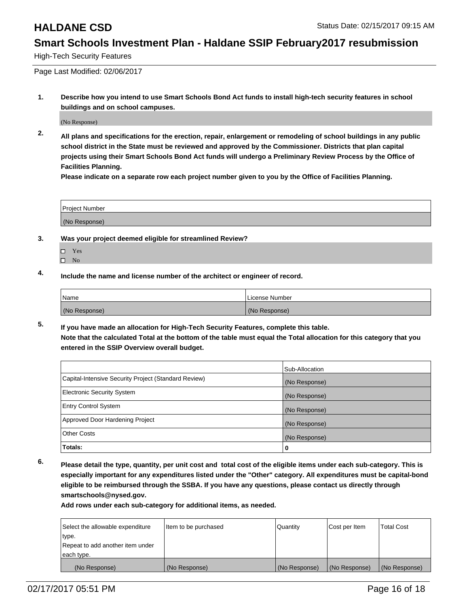High-Tech Security Features

Page Last Modified: 02/06/2017

**1. Describe how you intend to use Smart Schools Bond Act funds to install high-tech security features in school buildings and on school campuses.**

(No Response)

**2. All plans and specifications for the erection, repair, enlargement or remodeling of school buildings in any public school district in the State must be reviewed and approved by the Commissioner. Districts that plan capital projects using their Smart Schools Bond Act funds will undergo a Preliminary Review Process by the Office of Facilities Planning.** 

**Please indicate on a separate row each project number given to you by the Office of Facilities Planning.**

| Project Number |  |
|----------------|--|
| (No Response)  |  |

- **3. Was your project deemed eligible for streamlined Review?**
	- Yes
	- $\square$  No
- **4. Include the name and license number of the architect or engineer of record.**

| Name          | License Number |
|---------------|----------------|
| (No Response) | (No Response)  |

**5. If you have made an allocation for High-Tech Security Features, complete this table. Note that the calculated Total at the bottom of the table must equal the Total allocation for this category that you entered in the SSIP Overview overall budget.**

|                                                      | Sub-Allocation |
|------------------------------------------------------|----------------|
| Capital-Intensive Security Project (Standard Review) | (No Response)  |
| <b>Electronic Security System</b>                    | (No Response)  |
| <b>Entry Control System</b>                          | (No Response)  |
| Approved Door Hardening Project                      | (No Response)  |
| <b>Other Costs</b>                                   | (No Response)  |
| Totals:                                              | 0              |

**6. Please detail the type, quantity, per unit cost and total cost of the eligible items under each sub-category. This is especially important for any expenditures listed under the "Other" category. All expenditures must be capital-bond eligible to be reimbursed through the SSBA. If you have any questions, please contact us directly through smartschools@nysed.gov.**

| Select the allowable expenditure | litem to be purchased | Quantity      | Cost per Item | <b>Total Cost</b> |
|----------------------------------|-----------------------|---------------|---------------|-------------------|
| type.                            |                       |               |               |                   |
| Repeat to add another item under |                       |               |               |                   |
| each type.                       |                       |               |               |                   |
| (No Response)                    | (No Response)         | (No Response) | (No Response) | (No Response)     |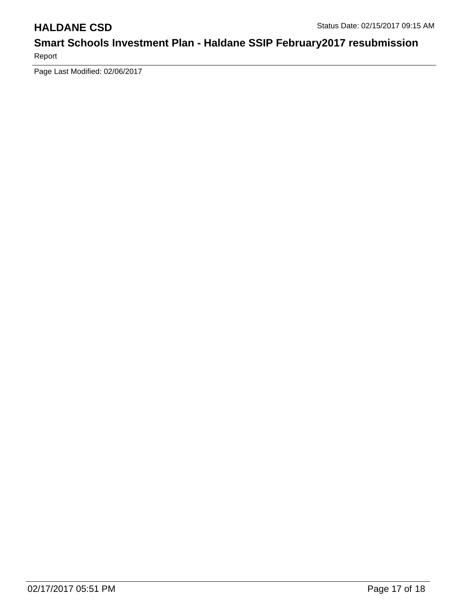Report

Page Last Modified: 02/06/2017